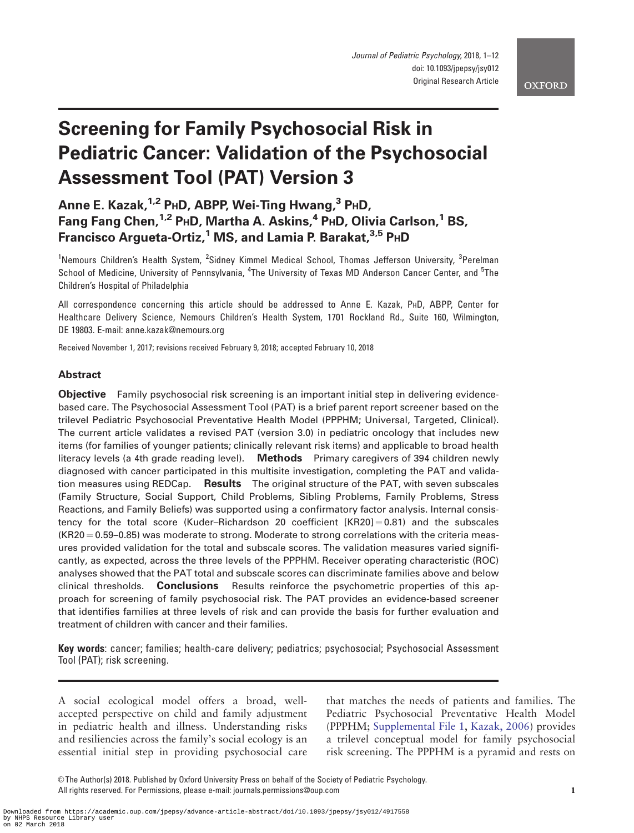# Screening for Family Psychosocial Risk in Pediatric Cancer: Validation of the Psychosocial Assessment Tool (PAT) Version 3

# Anne E. Kazak, <sup>1,2</sup> PHD, ABPP, Wei-Ting Hwang, <sup>3</sup> PHD, Fang Fang Chen,<sup>1,2</sup> PHD, Martha A. Askins,<sup>4</sup> PHD, Olivia Carlson,<sup>1</sup> BS, Francisco Argueta-Ortiz,<sup>1</sup> MS, and Lamia P. Barakat,<sup>3,5</sup> PHD

<sup>1</sup>Nemours Children's Health System, <sup>2</sup>Sidney Kimmel Medical School, Thomas Jefferson University, <sup>3</sup>Perelman School of Medicine, University of Pennsylvania, <sup>4</sup>The University of Texas MD Anderson Cancer Center, and <sup>5</sup>The Children's Hospital of Philadelphia

All correspondence concerning this article should be addressed to Anne E. Kazak, PHD, ABPP, Center for Healthcare Delivery Science, Nemours Children's Health System, 1701 Rockland Rd., Suite 160, Wilmington, DE 19803. E-mail: anne.kazak@nemours.org

Received November 1, 2017; revisions received February 9, 2018; accepted February 10, 2018

# Abstract

**Objective** Family psychosocial risk screening is an important initial step in delivering evidencebased care. The Psychosocial Assessment Tool (PAT) is a brief parent report screener based on the trilevel Pediatric Psychosocial Preventative Health Model (PPPHM; Universal, Targeted, Clinical). The current article validates a revised PAT (version 3.0) in pediatric oncology that includes new items (for families of younger patients; clinically relevant risk items) and applicable to broad health literacy levels (a 4th grade reading level). Methods Primary caregivers of 394 children newly diagnosed with cancer participated in this multisite investigation, completing the PAT and validation measures using REDCap. Results The original structure of the PAT, with seven subscales (Family Structure, Social Support, Child Problems, Sibling Problems, Family Problems, Stress Reactions, and Family Beliefs) was supported using a confirmatory factor analysis. Internal consistency for the total score (Kuder–Richardson 20 coefficient  $[KR20] = 0.81$ ) and the subscales  $(KR20 = 0.59 - 0.85)$  was moderate to strong. Moderate to strong correlations with the criteria measures provided validation for the total and subscale scores. The validation measures varied significantly, as expected, across the three levels of the PPPHM. Receiver operating characteristic (ROC) analyses showed that the PAT total and subscale scores can discriminate families above and below clinical thresholds. **Conclusions** Results reinforce the psychometric properties of this approach for screening of family psychosocial risk. The PAT provides an evidence-based screener that identifies families at three levels of risk and can provide the basis for further evaluation and treatment of children with cancer and their families.

Key words: cancer; families; health-care delivery; pediatrics; psychosocial; Psychosocial Assessment Tool (PAT); risk screening.

A social ecological model offers a broad, wellaccepted perspective on child and family adjustment in pediatric health and illness. Understanding risks and resiliencies across the family's social ecology is an essential initial step in providing psychosocial care that matches the needs of patients and families. The Pediatric Psychosocial Preventative Health Model (PPPHM; [Supplemental File 1,](https://academic.oup.com/jpepsy/article-lookup/doi/10.1093/jpepsy/jsy012#supplementary-data) [Kazak, 2006\)](#page-10-0) provides a trilevel conceptual model for family psychosocial risk screening. The PPPHM is a pyramid and rests on

V<sup>C</sup> The Author(s) 2018. Published by Oxford University Press on behalf of the Society of Pediatric Psychology. All rights reserved. For Permissions, please e-mail: journals.permissions@oup.com 1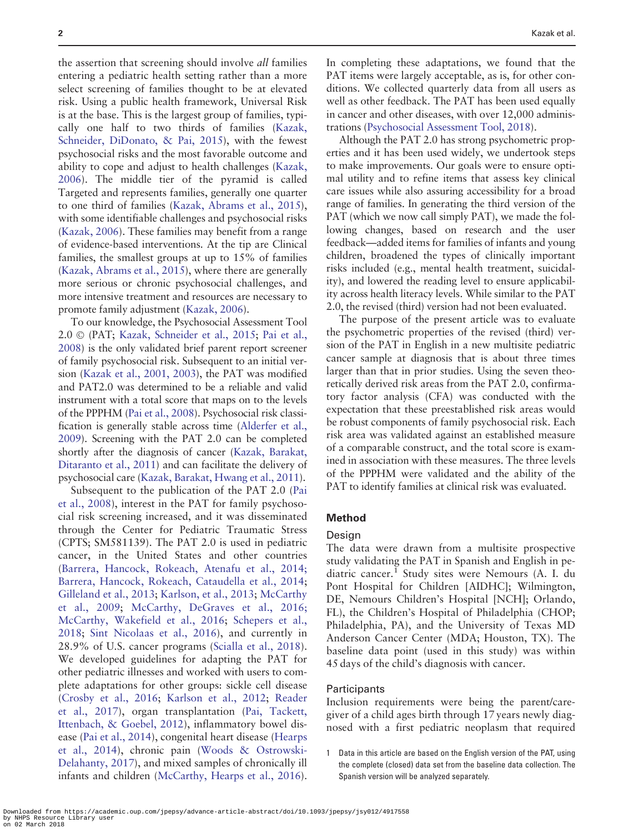the assertion that screening should involve all families entering a pediatric health setting rather than a more select screening of families thought to be at elevated risk. Using a public health framework, Universal Risk is at the base. This is the largest group of families, typically one half to two thirds of families [\(Kazak,](#page-10-0) [Schneider, DiDonato, & Pai, 2015](#page-10-0)), with the fewest psychosocial risks and the most favorable outcome and ability to cope and adjust to health challenges [\(Kazak,](#page-10-0) [2006](#page-10-0)). The middle tier of the pyramid is called Targeted and represents families, generally one quarter to one third of families ([Kazak, Abrams et al., 2015\)](#page-10-0), with some identifiable challenges and psychosocial risks ([Kazak, 2006\)](#page-10-0). These families may benefit from a range of evidence-based interventions. At the tip are Clinical families, the smallest groups at up to 15% of families ([Kazak, Abrams et al., 2015\)](#page-10-0), where there are generally more serious or chronic psychosocial challenges, and more intensive treatment and resources are necessary to promote family adjustment ([Kazak, 2006](#page-10-0)).

To our knowledge, the Psychosocial Assessment Tool 2.0 © (PAT; [Kazak, Schneider et al., 2015](#page-10-0); Pai et al., 2008) is the only validated brief parent report screener of family psychosocial risk. Subsequent to an initial version [\(Kazak et al., 2001, 2003](#page-10-0)), the PAT was modified and PAT2.0 was determined to be a reliable and valid instrument with a total score that maps on to the levels of the PPPHM (Pai et al., 2008). Psychosocial risk classification is generally stable across time ([Alderfer et al.,](#page-9-0) [2009](#page-9-0)). Screening with the PAT 2.0 can be completed shortly after the diagnosis of cancer [\(Kazak, Barakat,](#page-10-0) [Ditaranto et al., 2011\)](#page-10-0) and can facilitate the delivery of psychosocial care [\(Kazak, Barakat, Hwang et al., 2011](#page-10-0)).

Subsequent to the publication of the PAT 2.0 (Pai et al., 2008), interest in the PAT for family psychosocial risk screening increased, and it was disseminated through the Center for Pediatric Traumatic Stress (CPTS; SM581139). The PAT 2.0 is used in pediatric cancer, in the United States and other countries ([Barrera, Hancock, Rokeach, Atenafu et al., 2014;](#page-9-0) [Barrera, Hancock, Rokeach, Cataudella et al., 2014;](#page-9-0) [Gilleland et al., 2013](#page-10-0); [Karlson, et al., 2013;](#page-10-0) McCarthy et al., 2009; McCarthy, DeGraves et al., 2016; McCarthy, Wakefield et al., 2016; [Schepers et al.,](#page-11-0) [2018;](#page-11-0) [Sint Nicolaas et al., 2016\)](#page-11-0), and currently in 28.9% of U.S. cancer programs ([Scialla et al., 2018\)](#page-11-0). We developed guidelines for adapting the PAT for other pediatric illnesses and worked with users to complete adaptations for other groups: sickle cell disease ([Crosby et al., 2016](#page-10-0); [Karlson et al., 2012;](#page-10-0) [Reader](#page-10-0) [et al., 2017](#page-10-0)), organ transplantation ([Pai, Tackett,](#page-10-0) [Ittenbach,](#page-10-0) [& Goebel, 2012\)](#page-10-0), inflammatory bowel disease [\(Pai et al., 2014](#page-10-0)), congenital heart disease ([Hearps](#page-10-0) [et al., 2014\)](#page-10-0), chronic pain ([Woods](#page-11-0) & [Ostrowski-](#page-11-0)[Delahanty, 2017](#page-11-0)), and mixed samples of chronically ill infants and children (McCarthy, Hearps et al., 2016). In completing these adaptations, we found that the PAT items were largely acceptable, as is, for other conditions. We collected quarterly data from all users as well as other feedback. The PAT has been used equally in cancer and other diseases, with over 12,000 administrations [\(Psychosocial Assessment Tool, 2018](#page-10-0)).

Although the PAT 2.0 has strong psychometric properties and it has been used widely, we undertook steps to make improvements. Our goals were to ensure optimal utility and to refine items that assess key clinical care issues while also assuring accessibility for a broad range of families. In generating the third version of the PAT (which we now call simply PAT), we made the following changes, based on research and the user feedback—added items for families of infants and young children, broadened the types of clinically important risks included (e.g., mental health treatment, suicidality), and lowered the reading level to ensure applicability across health literacy levels. While similar to the PAT 2.0, the revised (third) version had not been evaluated.

The purpose of the present article was to evaluate the psychometric properties of the revised (third) version of the PAT in English in a new multisite pediatric cancer sample at diagnosis that is about three times larger than that in prior studies. Using the seven theoretically derived risk areas from the PAT 2.0, confirmatory factor analysis (CFA) was conducted with the expectation that these preestablished risk areas would be robust components of family psychosocial risk. Each risk area was validated against an established measure of a comparable construct, and the total score is examined in association with these measures. The three levels of the PPPHM were validated and the ability of the PAT to identify families at clinical risk was evaluated.

#### Method

#### **Design**

The data were drawn from a multisite prospective study validating the PAT in Spanish and English in pediatric cancer.<sup>1</sup> Study sites were Nemours  $(A, I, du)$ Pont Hospital for Children [AIDHC]; Wilmington, DE, Nemours Children's Hospital [NCH]; Orlando, FL), the Children's Hospital of Philadelphia (CHOP; Philadelphia, PA), and the University of Texas MD Anderson Cancer Center (MDA; Houston, TX). The baseline data point (used in this study) was within 45 days of the child's diagnosis with cancer.

#### **Participants**

Inclusion requirements were being the parent/caregiver of a child ages birth through 17 years newly diagnosed with a first pediatric neoplasm that required

1 Data in this article are based on the English version of the PAT, using the complete (closed) data set from the baseline data collection. The Spanish version will be analyzed separately.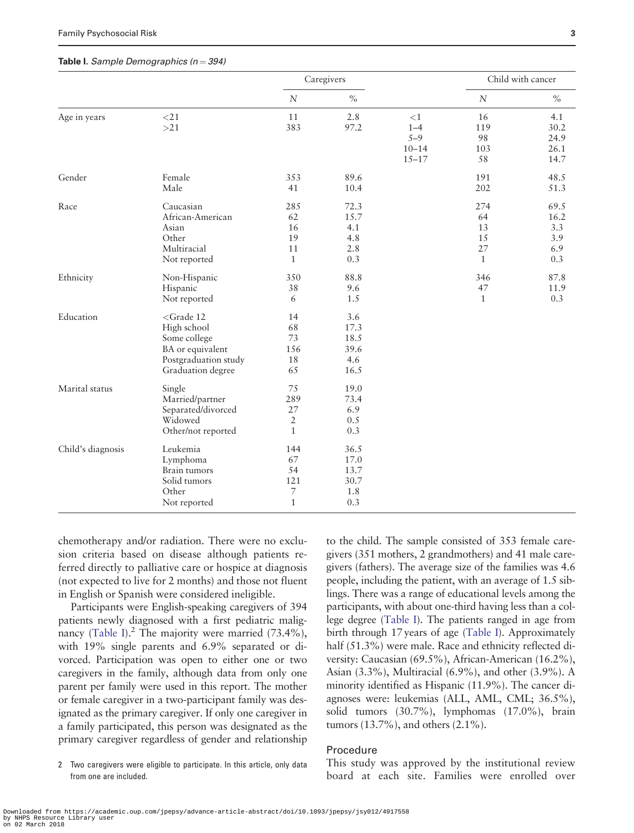#### Table I. Sample Demographics ( $n = 394$ )

|                   |                                                                                                                          |                                                   | Caregivers                                 |                                                        | Child with cancer                           |                                          |  |
|-------------------|--------------------------------------------------------------------------------------------------------------------------|---------------------------------------------------|--------------------------------------------|--------------------------------------------------------|---------------------------------------------|------------------------------------------|--|
|                   |                                                                                                                          | $\boldsymbol{N}$                                  | $\%$                                       |                                                        | $\overline{N}$                              | $\%$                                     |  |
| Age in years      | $<$ 21<br>>21                                                                                                            | 11<br>383                                         | 2.8<br>97.2                                | ${<}1$<br>$1 - 4$<br>$5 - 9$<br>$10 - 14$<br>$15 - 17$ | 16<br>119<br>98<br>103<br>58                | 4.1<br>30.2<br>24.9<br>26.1<br>14.7      |  |
| Gender            | Female<br>Male                                                                                                           | 353<br>41                                         | 89.6<br>10.4                               |                                                        | 191<br>202                                  | 48.5<br>51.3                             |  |
| Race              | Caucasian<br>African-American<br>Asian<br>Other<br>Multiracial<br>Not reported                                           | 285<br>62<br>16<br>19<br>11<br>$\mathbf{1}$       | 72.3<br>15.7<br>4.1<br>4.8<br>2.8<br>0.3   |                                                        | 274<br>64<br>13<br>15<br>27<br>$\mathbf{1}$ | 69.5<br>16.2<br>3.3<br>3.9<br>6.9<br>0.3 |  |
| Ethnicity         | Non-Hispanic<br>Hispanic<br>Not reported                                                                                 | 350<br>38<br>6                                    | 88.8<br>9.6<br>1.5                         |                                                        | 346<br>47<br>$\mathbf{1}$                   | 87.8<br>11.9<br>0.3                      |  |
| Education         | <grade 12<br="">High school<br/>Some college<br/>BA or equivalent<br/>Postgraduation study<br/>Graduation degree</grade> | 14<br>68<br>73<br>156<br>18<br>65                 | 3.6<br>17.3<br>18.5<br>39.6<br>4.6<br>16.5 |                                                        |                                             |                                          |  |
| Marital status    | Single<br>Married/partner<br>Separated/divorced<br>Widowed<br>Other/not reported                                         | 75<br>289<br>27<br>$\overline{2}$<br>$\mathbf{1}$ | 19.0<br>73.4<br>6.9<br>0.5<br>0.3          |                                                        |                                             |                                          |  |
| Child's diagnosis | Leukemia<br>Lymphoma<br>Brain tumors<br>Solid tumors<br>Other<br>Not reported                                            | 144<br>67<br>54<br>121<br>7<br>$\mathbf{1}$       | 36.5<br>17.0<br>13.7<br>30.7<br>1.8<br>0.3 |                                                        |                                             |                                          |  |

chemotherapy and/or radiation. There were no exclusion criteria based on disease although patients referred directly to palliative care or hospice at diagnosis (not expected to live for 2 months) and those not fluent in English or Spanish were considered ineligible.

Participants were English-speaking caregivers of 394 patients newly diagnosed with a first pediatric malignancy (Table I).<sup>2</sup> The majority were married (73.4%), with 19% single parents and 6.9% separated or divorced. Participation was open to either one or two caregivers in the family, although data from only one parent per family were used in this report. The mother or female caregiver in a two-participant family was designated as the primary caregiver. If only one caregiver in a family participated, this person was designated as the primary caregiver regardless of gender and relationship

2 Two caregivers were eligible to participate. In this article, only data from one are included.

to the child. The sample consisted of 353 female caregivers (351 mothers, 2 grandmothers) and 41 male caregivers (fathers). The average size of the families was 4.6 people, including the patient, with an average of 1.5 siblings. There was a range of educational levels among the participants, with about one-third having less than a college degree (Table I). The patients ranged in age from birth through 17 years of age (Table I). Approximately half (51.3%) were male. Race and ethnicity reflected diversity: Caucasian (69.5%), African-American (16.2%), Asian (3.3%), Multiracial (6.9%), and other (3.9%). A minority identified as Hispanic (11.9%). The cancer diagnoses were: leukemias (ALL, AML, CML; 36.5%), solid tumors (30.7%), lymphomas (17.0%), brain tumors (13.7%), and others (2.1%).

# Procedure

This study was approved by the institutional review board at each site. Families were enrolled over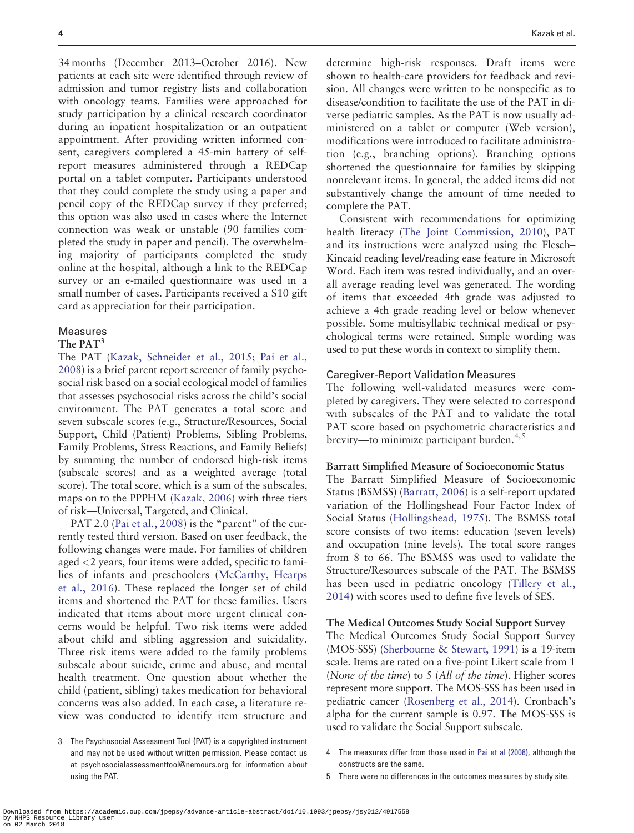34 months (December 2013–October 2016). New patients at each site were identified through review of admission and tumor registry lists and collaboration with oncology teams. Families were approached for study participation by a clinical research coordinator during an inpatient hospitalization or an outpatient appointment. After providing written informed consent, caregivers completed a 45-min battery of selfreport measures administered through a REDCap portal on a tablet computer. Participants understood that they could complete the study using a paper and pencil copy of the REDCap survey if they preferred; this option was also used in cases where the Internet connection was weak or unstable (90 families completed the study in paper and pencil). The overwhelming majority of participants completed the study online at the hospital, although a link to the REDCap survey or an e-mailed questionnaire was used in a small number of cases. Participants received a \$10 gift card as appreciation for their participation.

## Measures

# The PAT<sup>3</sup>

The PAT ([Kazak, Schneider et al., 2015;](#page-10-0) Pai et al., 2008) is a brief parent report screener of family psychosocial risk based on a social ecological model of families that assesses psychosocial risks across the child's social environment. The PAT generates a total score and seven subscale scores (e.g., Structure/Resources, Social Support, Child (Patient) Problems, Sibling Problems, Family Problems, Stress Reactions, and Family Beliefs) by summing the number of endorsed high-risk items (subscale scores) and as a weighted average (total score). The total score, which is a sum of the subscales, maps on to the PPPHM [\(Kazak, 2006\)](#page-10-0) with three tiers of risk—Universal, Targeted, and Clinical.

PAT 2.0 (Pai et al., 2008) is the "parent" of the currently tested third version. Based on user feedback, the following changes were made. For families of children aged <2 years, four items were added, specific to families of infants and preschoolers (McCarthy, Hearps et al., 2016). These replaced the longer set of child items and shortened the PAT for these families. Users indicated that items about more urgent clinical concerns would be helpful. Two risk items were added about child and sibling aggression and suicidality. Three risk items were added to the family problems subscale about suicide, crime and abuse, and mental health treatment. One question about whether the child (patient, sibling) takes medication for behavioral concerns was also added. In each case, a literature review was conducted to identify item structure and

3 The Psychosocial Assessment Tool (PAT) is a copyrighted instrument and may not be used without written permission. Please contact us at psychosocialassessmenttool@nemours.org for information about using the PAT.

determine high-risk responses. Draft items were shown to health-care providers for feedback and revision. All changes were written to be nonspecific as to disease/condition to facilitate the use of the PAT in diverse pediatric samples. As the PAT is now usually administered on a tablet or computer (Web version), modifications were introduced to facilitate administration (e.g., branching options). Branching options shortened the questionnaire for families by skipping nonrelevant items. In general, the added items did not substantively change the amount of time needed to complete the PAT.

Consistent with recommendations for optimizing health literacy [\(The Joint Commission, 2010\)](#page-11-0), PAT and its instructions were analyzed using the Flesch– Kincaid reading level/reading ease feature in Microsoft Word. Each item was tested individually, and an overall average reading level was generated. The wording of items that exceeded 4th grade was adjusted to achieve a 4th grade reading level or below whenever possible. Some multisyllabic technical medical or psychological terms were retained. Simple wording was used to put these words in context to simplify them.

#### Caregiver-Report Validation Measures

The following well-validated measures were completed by caregivers. They were selected to correspond with subscales of the PAT and to validate the total PAT score based on psychometric characteristics and brevity—to minimize participant burden.<sup>4,5</sup>

#### Barratt Simplified Measure of Socioeconomic Status

The Barratt Simplified Measure of Socioeconomic Status (BSMSS) ([Barratt, 2006\)](#page-9-0) is a self-report updated variation of the Hollingshead Four Factor Index of Social Status [\(Hollingshead, 1975](#page-10-0)). The BSMSS total score consists of two items: education (seven levels) and occupation (nine levels). The total score ranges from 8 to 66. The BSMSS was used to validate the Structure/Resources subscale of the PAT. The BSMSS has been used in pediatric oncology ([Tillery et al.,](#page-11-0) [2014\)](#page-11-0) with scores used to define five levels of SES.

#### The Medical Outcomes Study Social Support Survey

The Medical Outcomes Study Social Support Survey (MOS-SSS) [\(Sherbourne & Stewart, 1991\)](#page-11-0) is a 19-item scale. Items are rated on a five-point Likert scale from 1 (None of the time) to 5 (All of the time). Higher scores represent more support. The MOS-SSS has been used in pediatric cancer [\(Rosenberg et al., 2014](#page-10-0)). Cronbach's alpha for the current sample is 0.97. The MOS-SSS is used to validate the Social Support subscale.

- 4 The measures differ from those used in Pai et al (2008), although the constructs are the same.
- 5 There were no differences in the outcomes measures by study site.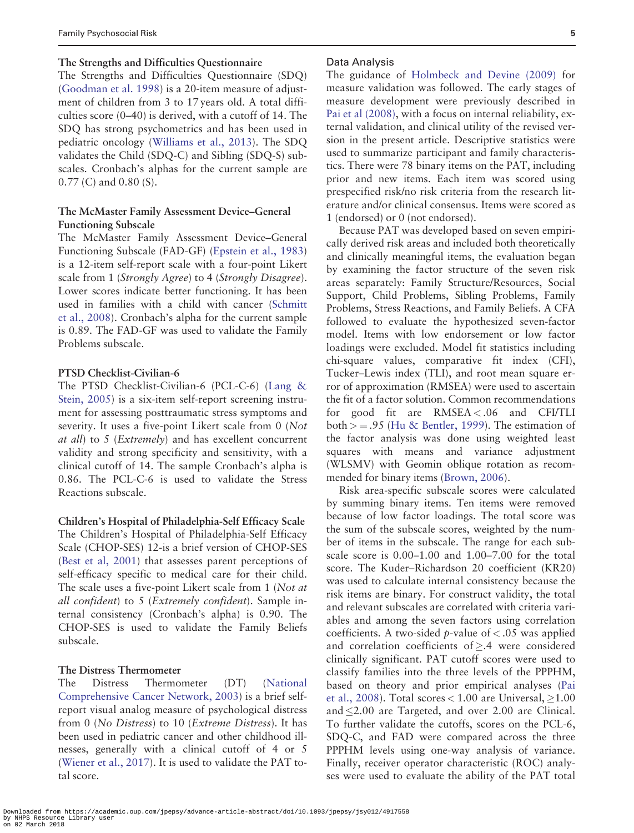#### The Strengths and Difficulties Questionnaire

The Strengths and Difficulties Questionnaire (SDQ) ([Goodman et al. 1998](#page-10-0)) is a 20-item measure of adjustment of children from 3 to 17 years old. A total difficulties score (0–40) is derived, with a cutoff of 14. The SDQ has strong psychometrics and has been used in pediatric oncology [\(Williams et al., 2013\)](#page-11-0). The SDQ validates the Child (SDQ-C) and Sibling (SDQ-S) subscales. Cronbach's alphas for the current sample are 0.77 (C) and 0.80 (S).

# The McMaster Family Assessment Device–General Functioning Subscale

The McMaster Family Assessment Device–General Functioning Subscale (FAD-GF) [\(Epstein et al., 1983](#page-10-0)) is a 12-item self-report scale with a four-point Likert scale from 1 (Strongly Agree) to 4 (Strongly Disagree). Lower scores indicate better functioning. It has been used in families with a child with cancer ([Schmitt](#page-11-0) [et al., 2008](#page-11-0)). Cronbach's alpha for the current sample is 0.89. The FAD-GF was used to validate the Family Problems subscale.

# PTSD Checklist-Civilian-6

The PTSD Checklist-Civilian-6 (PCL-C-6) (Lang & Stein, 2005) is a six-item self-report screening instrument for assessing posttraumatic stress symptoms and severity. It uses a five-point Likert scale from 0 (Not at all) to 5 (Extremely) and has excellent concurrent validity and strong specificity and sensitivity, with a clinical cutoff of 14. The sample Cronbach's alpha is 0.86. The PCL-C-6 is used to validate the Stress Reactions subscale.

Children's Hospital of Philadelphia-Self Efficacy Scale The Children's Hospital of Philadelphia-Self Efficacy Scale (CHOP-SES) 12-is a brief version of CHOP-SES ([Best et al, 2001\)](#page-9-0) that assesses parent perceptions of self-efficacy specific to medical care for their child. The scale uses a five-point Likert scale from 1 (Not at all confident) to 5 (Extremely confident). Sample internal consistency (Cronbach's alpha) is 0.90. The CHOP-SES is used to validate the Family Beliefs subscale.

# The Distress Thermometer

The Distress Thermometer (DT) (National Comprehensive Cancer Network, 2003) is a brief selfreport visual analog measure of psychological distress from 0 (No Distress) to 10 (Extreme Distress). It has been used in pediatric cancer and other childhood illnesses, generally with a clinical cutoff of 4 or 5 ([Wiener et al., 2017\)](#page-11-0). It is used to validate the PAT total score.

#### Data Analysis

The guidance of [Holmbeck and Devine \(2009\)](#page-10-0) for measure validation was followed. The early stages of measure development were previously described in Pai et al (2008), with a focus on internal reliability, external validation, and clinical utility of the revised version in the present article. Descriptive statistics were used to summarize participant and family characteristics. There were 78 binary items on the PAT, including prior and new items. Each item was scored using prespecified risk/no risk criteria from the research literature and/or clinical consensus. Items were scored as 1 (endorsed) or 0 (not endorsed).

Because PAT was developed based on seven empirically derived risk areas and included both theoretically and clinically meaningful items, the evaluation began by examining the factor structure of the seven risk areas separately: Family Structure/Resources, Social Support, Child Problems, Sibling Problems, Family Problems, Stress Reactions, and Family Beliefs. A CFA followed to evaluate the hypothesized seven-factor model. Items with low endorsement or low factor loadings were excluded. Model fit statistics including chi-square values, comparative fit index (CFI), Tucker–Lewis index (TLI), and root mean square error of approximation (RMSEA) were used to ascertain the fit of a factor solution. Common recommendations for good fit are  $RMSEA < .06$  and CFI/TLI both  $> = .95$  [\(Hu & Bentler, 1999\)](#page-10-0). The estimation of the factor analysis was done using weighted least squares with means and variance adjustment (WLSMV) with Geomin oblique rotation as recommended for binary items [\(Brown, 2006](#page-10-0)).

Risk area-specific subscale scores were calculated by summing binary items. Ten items were removed because of low factor loadings. The total score was the sum of the subscale scores, weighted by the number of items in the subscale. The range for each subscale score is 0.00–1.00 and 1.00–7.00 for the total score. The Kuder–Richardson 20 coefficient (KR20) was used to calculate internal consistency because the risk items are binary. For construct validity, the total and relevant subscales are correlated with criteria variables and among the seven factors using correlation coefficients. A two-sided *p*-value of  $< .05$  was applied and correlation coefficients of  $\geq$ .4 were considered clinically significant. PAT cutoff scores were used to classify families into the three levels of the PPPHM, based on theory and prior empirical analyses (Pai et al., 2008). Total scores  $<$  1.00 are Universal,  $\geq$ 1.00 and 2.00 are Targeted, and over 2.00 are Clinical. To further validate the cutoffs, scores on the PCL-6, SDQ-C, and FAD were compared across the three PPPHM levels using one-way analysis of variance. Finally, receiver operator characteristic (ROC) analyses were used to evaluate the ability of the PAT total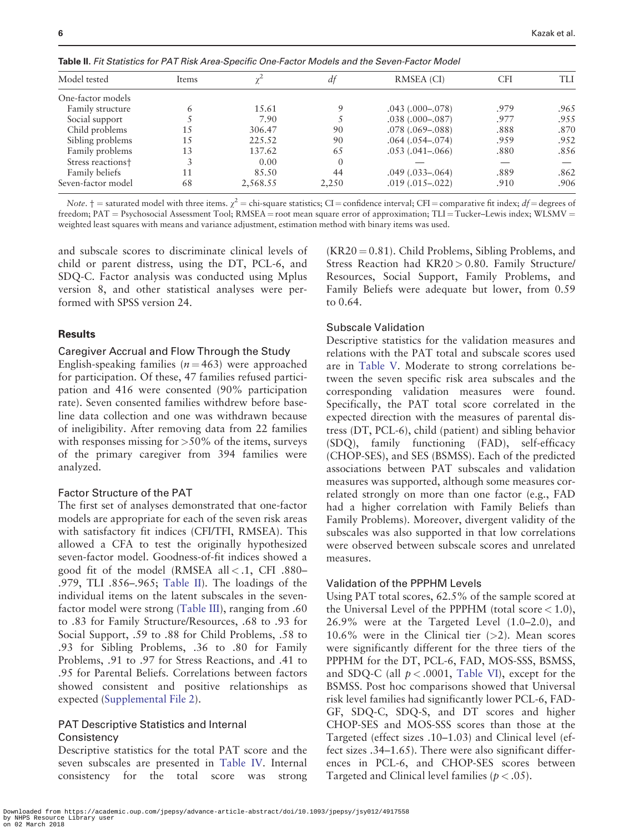| Model tested                  | Items |          | df       | RMSEA (CI)             | CFI  | TH   |
|-------------------------------|-------|----------|----------|------------------------|------|------|
| One-factor models             |       |          |          |                        |      |      |
| Family structure              | 6     | 15.61    | 9        | $.043$ $(.000-.078)$   | .979 | .965 |
| Social support                |       | 7.90     |          | $.038(.000-.087)$      | .977 | .955 |
| Child problems                | 1.5   | 306.47   | 90       | $.078$ $(.069 - .088)$ | .888 | .870 |
| Sibling problems              | 1.5   | 225.52   | 90       | $.064$ $(.054-.074)$   | .959 | .952 |
| Family problems               | 13    | 137.62   | 65       | $.053(.041-.066)$      | .880 | .856 |
| Stress reactions <sup>+</sup> |       | 0.00     | $\Omega$ |                        |      |      |
| Family beliefs                | 11    | 85.50    | 44       | $.049(.033-.064)$      | .889 | .862 |
| Seven-factor model            | 68    | 2,568.55 | 2,250    | $.019(.015-.022)$      | .910 | .906 |

Table II. Fit Statistics for PAT Risk Area-Specific One-Factor Models and the Seven-Factor Model

Note.  $\dagger$  = saturated model with three items.  $\chi^2$  = chi-square statistics; CI = confidence interval; CFI = comparative fit index;  $df$  = degrees of freedom;  $PAT =$  Psychosocial Assessment Tool;  $RMSEA =$  root mean square error of approximation;  $TLI =$  Tucker–Lewis index; WLSMV = weighted least squares with means and variance adjustment, estimation method with binary items was used.

and subscale scores to discriminate clinical levels of child or parent distress, using the DT, PCL-6, and SDQ-C. Factor analysis was conducted using Mplus version 8, and other statistical analyses were performed with SPSS version 24.

#### **Results**

#### Caregiver Accrual and Flow Through the Study

English-speaking families ( $n = 463$ ) were approached for participation. Of these, 47 families refused participation and 416 were consented (90% participation rate). Seven consented families withdrew before baseline data collection and one was withdrawn because of ineligibility. After removing data from 22 families with responses missing for  $>50\%$  of the items, surveys of the primary caregiver from 394 families were analyzed.

# Factor Structure of the PAT

The first set of analyses demonstrated that one-factor models are appropriate for each of the seven risk areas with satisfactory fit indices (CFI/TFI, RMSEA). This allowed a CFA to test the originally hypothesized seven-factor model. Goodness-of-fit indices showed a good fit of the model (RMSEA all  $< .1$ , CFI .880-.979, TLI .856–.965; Table II). The loadings of the individual items on the latent subscales in the sevenfactor model were strong [\(Table III](#page-6-0)), ranging from .60 to .83 for Family Structure/Resources, .68 to .93 for Social Support, .59 to .88 for Child Problems, .58 to .93 for Sibling Problems, .36 to .80 for Family Problems, .91 to .97 for Stress Reactions, and .41 to .95 for Parental Beliefs. Correlations between factors showed consistent and positive relationships as expected [\(Supplemental File 2\)](https://academic.oup.com/jpepsy/article-lookup/doi/10.1093/jpepsy/jsy012#supplementary-data).

# PAT Descriptive Statistics and Internal **Consistency**

Descriptive statistics for the total PAT score and the seven subscales are presented in [Table IV.](#page-7-0) Internal consistency for the total score was strong

 $(KR20 = 0.81)$ . Child Problems, Sibling Problems, and Stress Reaction had KR20 > 0.80. Family Structure/ Resources, Social Support, Family Problems, and Family Beliefs were adequate but lower, from 0.59 to 0.64.

#### Subscale Validation

Descriptive statistics for the validation measures and relations with the PAT total and subscale scores used are in [Table V](#page-8-0). Moderate to strong correlations between the seven specific risk area subscales and the corresponding validation measures were found. Specifically, the PAT total score correlated in the expected direction with the measures of parental distress (DT, PCL-6), child (patient) and sibling behavior (SDQ), family functioning (FAD), self-efficacy (CHOP-SES), and SES (BSMSS). Each of the predicted associations between PAT subscales and validation measures was supported, although some measures correlated strongly on more than one factor (e.g., FAD had a higher correlation with Family Beliefs than Family Problems). Moreover, divergent validity of the subscales was also supported in that low correlations were observed between subscale scores and unrelated measures.

# Validation of the PPPHM Levels

Using PAT total scores, 62.5% of the sample scored at the Universal Level of the PPPHM (total score  $< 1.0$ ), 26.9% were at the Targeted Level (1.0–2.0), and 10.6% were in the Clinical tier  $(>2)$ . Mean scores were significantly different for the three tiers of the PPPHM for the DT, PCL-6, FAD, MOS-SSS, BSMSS, and SDQ-C (all  $p < .0001$ , [Table VI](#page-8-0)), except for the BSMSS. Post hoc comparisons showed that Universal risk level families had significantly lower PCL-6, FAD-GF, SDQ-C, SDQ-S, and DT scores and higher CHOP-SES and MOS-SSS scores than those at the Targeted (effect sizes .10–1.03) and Clinical level (effect sizes .34–1.65). There were also significant differences in PCL-6, and CHOP-SES scores between Targeted and Clinical level families ( $p < .05$ ).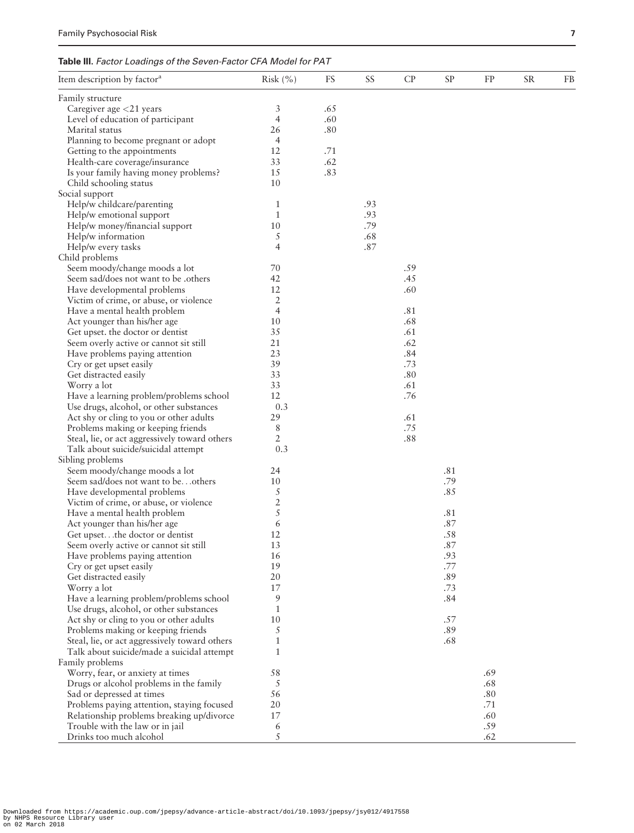<span id="page-6-0"></span>

| Item description by factor <sup>a</sup>                              | Risk $(\% )$   | FS  | SS  | CP  | <b>SP</b> | FP         | <b>SR</b> | FB |
|----------------------------------------------------------------------|----------------|-----|-----|-----|-----------|------------|-----------|----|
| Family structure                                                     |                |     |     |     |           |            |           |    |
| Caregiver age <21 years                                              | 3              | .65 |     |     |           |            |           |    |
| Level of education of participant                                    | $\overline{4}$ | .60 |     |     |           |            |           |    |
| Marital status                                                       | 26             | .80 |     |     |           |            |           |    |
| Planning to become pregnant or adopt                                 | $\overline{4}$ |     |     |     |           |            |           |    |
| Getting to the appointments                                          | 12             | .71 |     |     |           |            |           |    |
| Health-care coverage/insurance                                       | 33             | .62 |     |     |           |            |           |    |
| Is your family having money problems?                                | 15             | .83 |     |     |           |            |           |    |
| Child schooling status                                               | 10             |     |     |     |           |            |           |    |
| Social support                                                       |                |     |     |     |           |            |           |    |
| Help/w childcare/parenting                                           | $\mathbf{1}$   |     | .93 |     |           |            |           |    |
| Help/w emotional support                                             | $\mathbf{1}$   |     | .93 |     |           |            |           |    |
| Help/w money/financial support                                       | 10             |     | .79 |     |           |            |           |    |
| Help/w information                                                   | 5              |     | .68 |     |           |            |           |    |
| Help/w every tasks                                                   | $\overline{4}$ |     | .87 |     |           |            |           |    |
| Child problems                                                       |                |     |     |     |           |            |           |    |
| Seem moody/change moods a lot                                        | 70             |     |     | .59 |           |            |           |    |
| Seem sad/does not want to be .others                                 | 42             |     |     | .45 |           |            |           |    |
| Have developmental problems                                          | 12             |     |     | .60 |           |            |           |    |
| Victim of crime, or abuse, or violence                               | $\overline{2}$ |     |     |     |           |            |           |    |
| Have a mental health problem                                         | 4              |     |     | .81 |           |            |           |    |
| Act younger than his/her age                                         | 10             |     |     | .68 |           |            |           |    |
| Get upset, the doctor or dentist                                     | 35             |     |     | .61 |           |            |           |    |
| Seem overly active or cannot sit still                               | 21             |     |     | .62 |           |            |           |    |
| Have problems paying attention                                       | 23             |     |     | .84 |           |            |           |    |
| Cry or get upset easily                                              | 39             |     |     | .73 |           |            |           |    |
| Get distracted easily                                                | 33             |     |     | .80 |           |            |           |    |
| Worry a lot                                                          | 33             |     |     | .61 |           |            |           |    |
| Have a learning problem/problems school                              | 12             |     |     | .76 |           |            |           |    |
| Use drugs, alcohol, or other substances                              | 0.3            |     |     |     |           |            |           |    |
| Act shy or cling to you or other adults                              | 29             |     |     | .61 |           |            |           |    |
| Problems making or keeping friends                                   | 8              |     |     | .75 |           |            |           |    |
| Steal, lie, or act aggressively toward others                        | 2              |     |     | .88 |           |            |           |    |
| Talk about suicide/suicidal attempt                                  | 0.3            |     |     |     |           |            |           |    |
| Sibling problems                                                     |                |     |     |     |           |            |           |    |
| Seem moody/change moods a lot                                        | 24             |     |     |     | .81       |            |           |    |
| Seem sad/does not want to beothers                                   | 10             |     |     |     | .79       |            |           |    |
| Have developmental problems                                          | $\sqrt{5}$     |     |     |     | .85       |            |           |    |
| Victim of crime, or abuse, or violence                               | $\sqrt{2}$     |     |     |     |           |            |           |    |
| Have a mental health problem                                         | 5              |     |     |     | .81       |            |           |    |
| Act younger than his/her age                                         | 6              |     |     |     | .87       |            |           |    |
| Get upsetthe doctor or dentist                                       | 12             |     |     |     | .58       |            |           |    |
| Seem overly active or cannot sit still                               | 13             |     |     |     | .87       |            |           |    |
| Have problems paying attention                                       | 16             |     |     |     | .93       |            |           |    |
| Cry or get upset easily                                              | 19             |     |     |     | .77       |            |           |    |
| Get distracted easily                                                | 20             |     |     |     | .89       |            |           |    |
| Worry a lot                                                          | 17             |     |     |     | .73       |            |           |    |
| Have a learning problem/problems school                              | 9              |     |     |     | .84       |            |           |    |
| Use drugs, alcohol, or other substances                              | $\mathbf{1}$   |     |     |     |           |            |           |    |
| Act shy or cling to you or other adults                              | 10             |     |     |     | .57       |            |           |    |
| Problems making or keeping friends                                   | 5              |     |     |     | .89       |            |           |    |
| Steal, lie, or act aggressively toward others                        | $\mathbf{1}$   |     |     |     | .68       |            |           |    |
| Talk about suicide/made a suicidal attempt                           | $\mathbf{1}$   |     |     |     |           |            |           |    |
| Family problems                                                      |                |     |     |     |           |            |           |    |
|                                                                      |                |     |     |     |           |            |           |    |
| Worry, fear, or anxiety at times                                     | 58<br>5        |     |     |     |           | .69<br>.68 |           |    |
| Drugs or alcohol problems in the family<br>Sad or depressed at times | 56             |     |     |     |           | .80        |           |    |
|                                                                      | 20             |     |     |     |           | .71        |           |    |
| Problems paying attention, staying focused                           | 17             |     |     |     |           | .60        |           |    |
| Relationship problems breaking up/divorce                            |                |     |     |     |           |            |           |    |
| Trouble with the law or in jail                                      | 6              |     |     |     |           | .59        |           |    |
| Drinks too much alcohol                                              | 5              |     |     |     |           | .62        |           |    |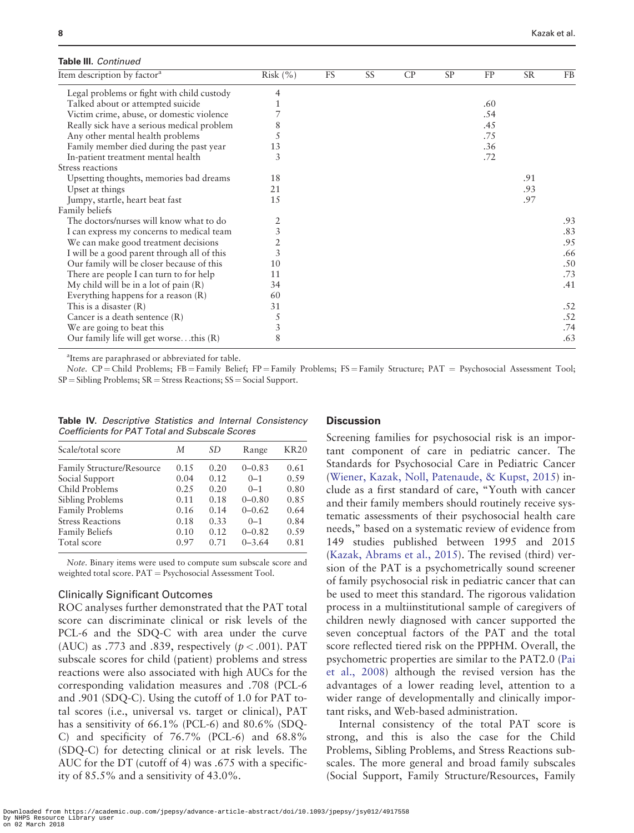#### <span id="page-7-0"></span>Table III. Continued

| Item description by factor <sup>a</sup>     | Risk $(\% )$   | <b>FS</b> | SS | CP | <b>SP</b> | FP  | <b>SR</b> | <b>FB</b> |
|---------------------------------------------|----------------|-----------|----|----|-----------|-----|-----------|-----------|
| Legal problems or fight with child custody  | 4              |           |    |    |           |     |           |           |
| Talked about or attempted suicide           |                |           |    |    |           | .60 |           |           |
| Victim crime, abuse, or domestic violence   |                |           |    |    |           | .54 |           |           |
| Really sick have a serious medical problem  | 8              |           |    |    |           | .45 |           |           |
| Any other mental health problems            |                |           |    |    |           | .75 |           |           |
| Family member died during the past year     | 13             |           |    |    |           | .36 |           |           |
| In-patient treatment mental health          | 3              |           |    |    |           | .72 |           |           |
| Stress reactions                            |                |           |    |    |           |     |           |           |
| Upsetting thoughts, memories bad dreams     | 18             |           |    |    |           |     | .91       |           |
| Upset at things                             | 21             |           |    |    |           |     | .93       |           |
| Jumpy, startle, heart beat fast             | 15             |           |    |    |           |     | .97       |           |
| Family beliefs                              |                |           |    |    |           |     |           |           |
| The doctors/nurses will know what to do     |                |           |    |    |           |     |           | .93       |
| I can express my concerns to medical team   | $\overline{3}$ |           |    |    |           |     |           | .83       |
| We can make good treatment decisions        | $\overline{2}$ |           |    |    |           |     |           | .95       |
| I will be a good parent through all of this | 3              |           |    |    |           |     |           | .66       |
| Our family will be closer because of this   | 10             |           |    |    |           |     |           | .50       |
| There are people I can turn to for help     | 11             |           |    |    |           |     |           | .73       |
| My child will be in a lot of pain $(R)$     | 34             |           |    |    |           |     |           | .41       |
| Everything happens for a reason $(R)$       | 60             |           |    |    |           |     |           |           |
| This is a disaster $(R)$                    | 31             |           |    |    |           |     |           | .52       |
| Cancer is a death sentence (R)              | 5              |           |    |    |           |     |           | .52       |
| We are going to beat this                   | 3              |           |    |    |           |     |           | .74       |
| Our family life will get worsethis $(R)$    | 8              |           |    |    |           |     |           | .63       |

a Items are paraphrased or abbreviated for table.

Note.  $CP =$  Child Problems; FB = Family Belief; FP = Family Problems; FS = Family Structure; PAT = Psychosocial Assessment Tool;  $SP = Sibling$  Problems;  $SR = Stress$  Reactions;  $SS = Social Support$ .

Table IV. Descriptive Statistics and Internal Consistency Coefficients for PAT Total and Subscale Scores

| М    | SD   | Range      | KR <sub>20</sub> |
|------|------|------------|------------------|
|      |      |            | 0.61             |
| 0.04 | 0.12 | $0 - 1$    | 0.59             |
| 0.25 | 0.20 | $() - 1$   | 0.80             |
| 0.11 | 0.18 | $0 - 0.80$ | 0.85             |
| 0.16 | 0.14 | $0 - 0.62$ | 0.64             |
| 0.18 | 0.33 | $0 - 1$    | 0.84             |
| 0.10 | 0.12 | $0 - 0.82$ | 0.59             |
| 0.97 | 0.71 | $0 - 3.64$ | 0.81             |
|      | 0.15 | 0.20       | $0 - 0.83$       |

Note. Binary items were used to compute sum subscale score and weighted total score.  $PAT =$  Psychosocial Assessment Tool.

# Clinically Significant Outcomes

ROC analyses further demonstrated that the PAT total score can discriminate clinical or risk levels of the PCL-6 and the SDQ-C with area under the curve (AUC) as .773 and .839, respectively ( $p < .001$ ). PAT subscale scores for child (patient) problems and stress reactions were also associated with high AUCs for the corresponding validation measures and .708 (PCL-6 and .901 (SDQ-C). Using the cutoff of 1.0 for PAT total scores (i.e., universal vs. target or clinical), PAT has a sensitivity of 66.1% (PCL-6) and 80.6% (SDQ-C) and specificity of 76.7% (PCL-6) and 68.8% (SDQ-C) for detecting clinical or at risk levels. The AUC for the DT (cutoff of 4) was .675 with a specificity of 85.5% and a sensitivity of 43.0%.

#### **Discussion**

Screening families for psychosocial risk is an important component of care in pediatric cancer. The Standards for Psychosocial Care in Pediatric Cancer ([Wiener, Kazak, Noll, Patenaude,](#page-11-0) & [Kupst, 2015](#page-11-0)) include as a first standard of care, "Youth with cancer and their family members should routinely receive systematic assessments of their psychosocial health care needs," based on a systematic review of evidence from 149 studies published between 1995 and 2015 ([Kazak, Abrams et al., 2015](#page-10-0)). The revised (third) version of the PAT is a psychometrically sound screener of family psychosocial risk in pediatric cancer that can be used to meet this standard. The rigorous validation process in a multiinstitutional sample of caregivers of children newly diagnosed with cancer supported the seven conceptual factors of the PAT and the total score reflected tiered risk on the PPPHM. Overall, the psychometric properties are similar to the PAT2.0 (Pai et al., 2008) although the revised version has the advantages of a lower reading level, attention to a wider range of developmentally and clinically important risks, and Web-based administration.

Internal consistency of the total PAT score is strong, and this is also the case for the Child Problems, Sibling Problems, and Stress Reactions subscales. The more general and broad family subscales (Social Support, Family Structure/Resources, Family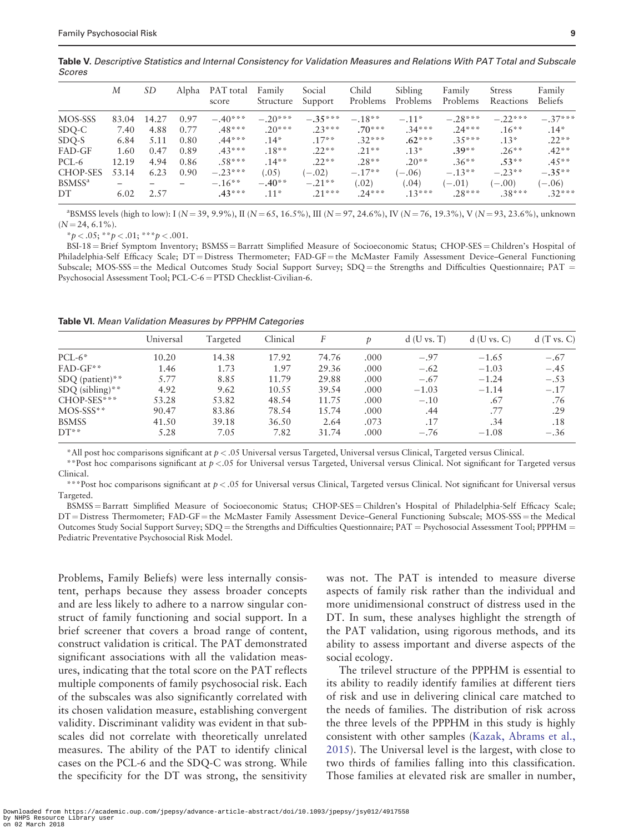<span id="page-8-0"></span>Table V. Descriptive Statistics and Internal Consistency for Validation Measures and Relations With PAT Total and Subscale Scores

|                    | М     | SD    | Alpha | PAT total<br>score | Family<br>Structure | Social<br>Support | Child<br>Problems | Sibling<br>Problems | Family<br>Problems | <b>Stress</b><br>Reactions | Family<br><b>Beliefs</b> |
|--------------------|-------|-------|-------|--------------------|---------------------|-------------------|-------------------|---------------------|--------------------|----------------------------|--------------------------|
| MOS-SSS            | 83.04 | 14.27 | 0.97  | $-.40***$          | $-.20***$           | $-.35***$         | $-.18**$          | $-.11*$             | $-.28***$          | $-.22***$                  | $-.37***$                |
| SDQ-C              | 7.40  | 4.88  | 0.77  | $.48***$           | $.20***$            | $.23***$          | $.70***$          | $.34***$            | $.24***$           | $.16***$                   | $.14*$                   |
| SDQ-S              | 6.84  | 5.11  | 0.80  | $.44***$           | $.14*$              | $.17**$           | $.32***$          | $.62***$            | $.35***$           | $.13*$                     | $.22**$                  |
| FAD-GF             | 1.60  | 0.47  | 0.89  | $.43***$           | $.18**$             | $.22**$           | $.21**$           | $.13*$              | $.39**$            | $.26**$                    | $.42**$                  |
| PCL-6              | 12.19 | 4.94  | 0.86  | $.58***$           | $.14**$             | $.22**$           | $.28**$           | $.20**$             | $.36**$            | $.53**$                    | $.45**$                  |
| <b>CHOP-SES</b>    | 53.14 | 6.23  | 0.90  | $-.23***$          | (.05)               | $(-.02)$          | $-.17**$          | $(-.06)$            | $-.13**$           | $-.23**$                   | $-.35***$                |
| BSMSS <sup>a</sup> |       |       |       | $-.16***$          | $-.40**$            | $-.21**$          | (.02)             | (.04)               | $(-.01)$           | $(-.00)$                   | $(-.06)$                 |
| DT                 | 6.02  | 2.57  |       | $.43***$           | $.11*$              | $.21***$          | $.24***$          | $.13***$            | $.28***$           | $.38***$                   | $.32***$                 |

 $a$ BSMSS levels (high to low): I (N = 39, 9.9%), II (N = 65, 16.5%), III (N = 97, 24.6%), IV (N = 76, 19.3%), V (N = 93, 23.6%), unknown  $(N = 24, 6.1\%)$ .

 $**p* < .05; ***p* < .01; ***p* < .001.$ 

BSI-18 = Brief Symptom Inventory; BSMSS = Barratt Simplified Measure of Socioeconomic Status; CHOP-SES = Children's Hospital of Philadelphia-Self Efficacy Scale; DT = Distress Thermometer; FAD-GF = the McMaster Family Assessment Device–General Functioning Subscale; MOS-SSS = the Medical Outcomes Study Social Support Survey; SDQ = the Strengths and Difficulties Questionnaire; PAT = Psychosocial Assessment Tool; PCL-C-6 = PTSD Checklist-Civilian-6.

Table VI. Mean Validation Measures by PPPHM Categories

|                   | Universal | Targeted | Clinical |       |      | $d$ (U vs. T) | $d$ (U vs. C) | d(T vs. C) |
|-------------------|-----------|----------|----------|-------|------|---------------|---------------|------------|
| $PCL-6*$          | 10.20     | 14.38    | 17.92    | 74.76 | .000 | $-.97$        | $-1.65$       | $-.67$     |
| $FAD-GF**$        | 1.46      | 1.73     | 1.97     | 29.36 | .000 | $-.62$        | $-1.03$       | $-.45$     |
| $SDQ$ (patient)** | 5.77      | 8.85     | 11.79    | 29.88 | .000 | $-.67$        | $-1.24$       | $-.53$     |
| $SDQ$ (sibling)** | 4.92      | 9.62     | 10.55    | 39.54 | .000 | $-1.03$       | $-1.14$       | $-.17$     |
| $CHOP-SES$ ***    | 53.28     | 53.82    | 48.54    | 11.75 | .000 | $-.10$        | .67           | .76        |
| $MOS-SSS$ **      | 90.47     | 83.86    | 78.54    | 15.74 | .000 | .44           | .77           | .29        |
| <b>BSMSS</b>      | 41.50     | 39.18    | 36.50    | 2.64  | .073 | .17           | .34           | .18        |
| $DT**$            | 5.28      | 7.05     | 7.82     | 31.74 | .000 | $-.76$        | $-1.08$       | $-.36$     |

\*All post hoc comparisons significant at p < .05 Universal versus Targeted, Universal versus Clinical, Targeted versus Clinical.

\*\*Post hoc comparisons significant at  $p < 0.05$  for Universal versus Targeted, Universal versus Clinical. Not significant for Targeted versus Clinical.

\*\*\*Post hoc comparisons significant at  $p < 0.05$  for Universal versus Clinical, Targeted versus Clinical. Not significant for Universal versus Targeted.

BSMSS = Barratt Simplified Measure of Socioeconomic Status; CHOP-SES = Children's Hospital of Philadelphia-Self Efficacy Scale; DT = Distress Thermometer; FAD-GF = the McMaster Family Assessment Device–General Functioning Subscale; MOS-SSS = the Medical Outcomes Study Social Support Survey; SDQ = the Strengths and Difficulties Questionnaire; PAT = Psychosocial Assessment Tool; PPPHM = Pediatric Preventative Psychosocial Risk Model.

Problems, Family Beliefs) were less internally consistent, perhaps because they assess broader concepts and are less likely to adhere to a narrow singular construct of family functioning and social support. In a brief screener that covers a broad range of content, construct validation is critical. The PAT demonstrated significant associations with all the validation measures, indicating that the total score on the PAT reflects multiple components of family psychosocial risk. Each of the subscales was also significantly correlated with its chosen validation measure, establishing convergent validity. Discriminant validity was evident in that subscales did not correlate with theoretically unrelated measures. The ability of the PAT to identify clinical cases on the PCL-6 and the SDQ-C was strong. While the specificity for the DT was strong, the sensitivity

was not. The PAT is intended to measure diverse aspects of family risk rather than the individual and more unidimensional construct of distress used in the DT. In sum, these analyses highlight the strength of the PAT validation, using rigorous methods, and its ability to assess important and diverse aspects of the social ecology.

The trilevel structure of the PPPHM is essential to its ability to readily identify families at different tiers of risk and use in delivering clinical care matched to the needs of families. The distribution of risk across the three levels of the PPPHM in this study is highly consistent with other samples [\(Kazak, Abrams et al.,](#page-10-0) [2015\)](#page-10-0). The Universal level is the largest, with close to two thirds of families falling into this classification. Those families at elevated risk are smaller in number,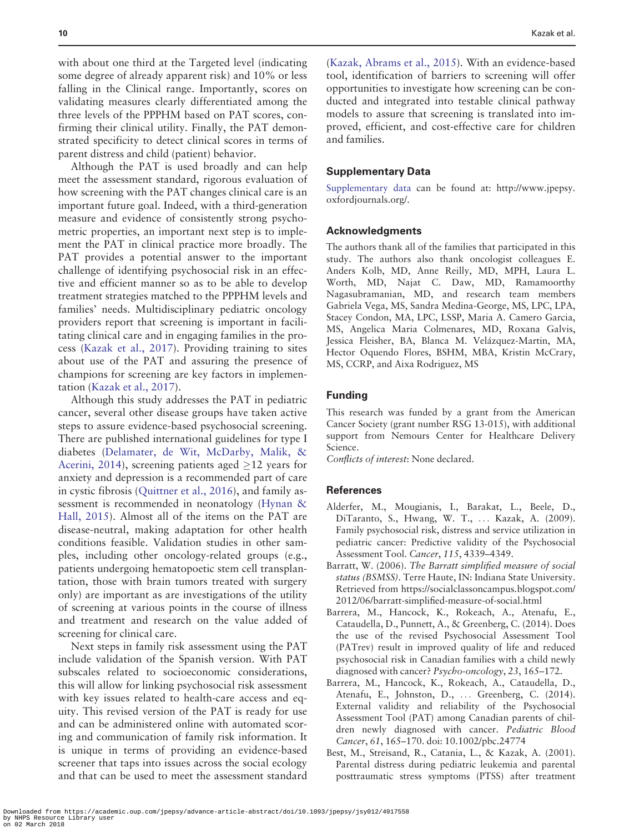<span id="page-9-0"></span>with about one third at the Targeted level (indicating some degree of already apparent risk) and 10% or less falling in the Clinical range. Importantly, scores on validating measures clearly differentiated among the three levels of the PPPHM based on PAT scores, confirming their clinical utility. Finally, the PAT demonstrated specificity to detect clinical scores in terms of parent distress and child (patient) behavior.

Although the PAT is used broadly and can help meet the assessment standard, rigorous evaluation of how screening with the PAT changes clinical care is an important future goal. Indeed, with a third-generation measure and evidence of consistently strong psychometric properties, an important next step is to implement the PAT in clinical practice more broadly. The PAT provides a potential answer to the important challenge of identifying psychosocial risk in an effective and efficient manner so as to be able to develop treatment strategies matched to the PPPHM levels and families' needs. Multidisciplinary pediatric oncology providers report that screening is important in facilitating clinical care and in engaging families in the process ([Kazak et al., 2017](#page-10-0)). Providing training to sites about use of the PAT and assuring the presence of champions for screening are key factors in implementation ([Kazak et al., 2017](#page-10-0)).

Although this study addresses the PAT in pediatric cancer, several other disease groups have taken active steps to assure evidence-based psychosocial screening. There are published international guidelines for type I diabetes ([Delamater, de Wit, McDarby, Malik,](#page-10-0) & [Acerini, 2014](#page-10-0)), screening patients aged  $\geq$ 12 years for anxiety and depression is a recommended part of care in cystic fibrosis [\(Quittner et al., 2016\)](#page-10-0), and family assessment is recommended in neonatology ([Hynan](#page-10-0) & [Hall, 2015\)](#page-10-0). Almost all of the items on the PAT are disease-neutral, making adaptation for other health conditions feasible. Validation studies in other samples, including other oncology-related groups (e.g., patients undergoing hematopoetic stem cell transplantation, those with brain tumors treated with surgery only) are important as are investigations of the utility of screening at various points in the course of illness and treatment and research on the value added of screening for clinical care.

Next steps in family risk assessment using the PAT include validation of the Spanish version. With PAT subscales related to socioeconomic considerations, this will allow for linking psychosocial risk assessment with key issues related to health-care access and equity. This revised version of the PAT is ready for use and can be administered online with automated scoring and communication of family risk information. It is unique in terms of providing an evidence-based screener that taps into issues across the social ecology and that can be used to meet the assessment standard

([Kazak, Abrams et al., 2015\)](#page-10-0). With an evidence-based tool, identification of barriers to screening will offer opportunities to investigate how screening can be conducted and integrated into testable clinical pathway models to assure that screening is translated into improved, efficient, and cost-effective care for children and families.

#### Supplementary Data

[Supplementary data](https://academic.oup.com/jpepsy/article-lookup/doi/10.1093/jpepsy/jsy012#supplementary-data) can be found at: [http://www.jpepsy.](http://www.jpepsy.oxfordjournals.org/) [oxfordjournals.org/](http://www.jpepsy.oxfordjournals.org/).

#### Acknowledgments

The authors thank all of the families that participated in this study. The authors also thank oncologist colleagues E. Anders Kolb, MD, Anne Reilly, MD, MPH, Laura L. Worth, MD, Najat C. Daw, MD, Ramamoorthy Nagasubramanian, MD, and research team members Gabriela Vega, MS, Sandra Medina-George, MS, LPC, LPA, Stacey Condon, MA, LPC, LSSP, Maria A. Camero Garcia, MS, Angelica Maria Colmenares, MD, Roxana Galvis, Jessica Fleisher, BA, Blanca M. Velázquez-Martin, MA, Hector Oquendo Flores, BSHM, MBA, Kristin McCrary, MS, CCRP, and Aixa Rodriguez, MS

#### Funding

This research was funded by a grant from the American Cancer Society (grant number RSG 13-015), with additional support from Nemours Center for Healthcare Delivery Science.

Conflicts of interest: None declared.

#### **References**

- Alderfer, M., Mougianis, I., Barakat, L., Beele, D., DiTaranto, S., Hwang, W. T., ... Kazak, A. (2009). Family psychosocial risk, distress and service utilization in pediatric cancer: Predictive validity of the Psychosocial Assessment Tool. Cancer, 115, 4339–4349.
- Barratt, W. (2006). The Barratt simplified measure of social status (BSMSS). Terre Haute, IN: Indiana State University. Retrieved from [https://socialclassoncampus.blogspot.com/](https://socialclassoncampus.blogspot.com/2012/06/barratt-simplified-measure-of-social.html) [2012/06/barratt-simplified-measure-of-social.html](https://socialclassoncampus.blogspot.com/2012/06/barratt-simplified-measure-of-social.html)
- Barrera, M., Hancock, K., Rokeach, A., Atenafu, E., Cataudella, D., Punnett, A., & Greenberg, C. (2014). Does the use of the revised Psychosocial Assessment Tool (PATrev) result in improved quality of life and reduced psychosocial risk in Canadian families with a child newly diagnosed with cancer? Psycho-oncology, 23, 165–172.
- Barrera, M., Hancock, K., Rokeach, A., Cataudella, D., Atenafu, E., Johnston, D., ... Greenberg, C. (2014). External validity and reliability of the Psychosocial Assessment Tool (PAT) among Canadian parents of children newly diagnosed with cancer. Pediatric Blood Cancer, 61, 165–170. doi: 10.1002/pbc.24774
- Best, M., Streisand, R., Catania, L., & Kazak, A. (2001). Parental distress during pediatric leukemia and parental posttraumatic stress symptoms (PTSS) after treatment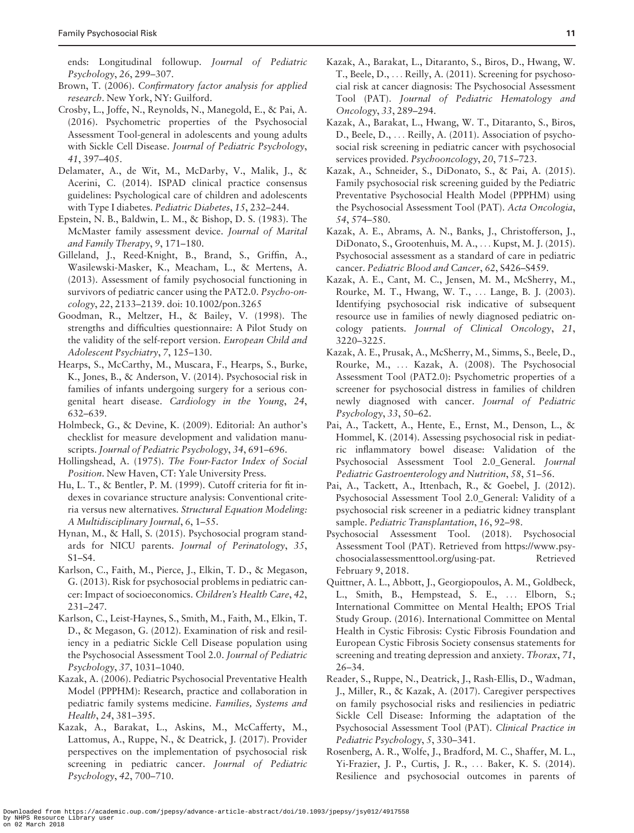<span id="page-10-0"></span>ends: Longitudinal followup. Journal of Pediatric Psychology, 26, 299–307.

- Brown, T. (2006). Confirmatory factor analysis for applied research. New York, NY: Guilford.
- Crosby, L., Joffe, N., Reynolds, N., Manegold, E., & Pai, A. (2016). Psychometric properties of the Psychosocial Assessment Tool-general in adolescents and young adults with Sickle Cell Disease. Journal of Pediatric Psychology, 41, 397–405.
- Delamater, A., de Wit, M., McDarby, V., Malik, J., & Acerini, C. (2014). ISPAD clinical practice consensus guidelines: Psychological care of children and adolescents with Type I diabetes. Pediatric Diabetes, 15, 232–244.
- Epstein, N. B., Baldwin, L. M., & Bishop, D. S. (1983). The McMaster family assessment device. Journal of Marital and Family Therapy, 9, 171–180.
- Gilleland, J., Reed-Knight, B., Brand, S., Griffin, A., Wasilewski-Masker, K., Meacham, L., & Mertens, A. (2013). Assessment of family psychosocial functioning in survivors of pediatric cancer using the PAT2.0. Psycho-oncology, 22, 2133–2139. doi: 10.1002/pon.3265
- Goodman, R., Meltzer, H., & Bailey, V. (1998). The strengths and difficulties questionnaire: A Pilot Study on the validity of the self-report version. European Child and Adolescent Psychiatry, 7, 125–130.
- Hearps, S., McCarthy, M., Muscara, F., Hearps, S., Burke, K., Jones, B., & Anderson, V. (2014). Psychosocial risk in families of infants undergoing surgery for a serious congenital heart disease. Cardiology in the Young, 24, 632–639.
- Holmbeck, G., & Devine, K. (2009). Editorial: An author's checklist for measure development and validation manuscripts. Journal of Pediatric Psychology, 34, 691–696.
- Hollingshead, A. (1975). The Four-Factor Index of Social Position. New Haven, CT: Yale University Press.
- Hu, L. T., & Bentler, P. M. (1999). Cutoff criteria for fit indexes in covariance structure analysis: Conventional criteria versus new alternatives. Structural Equation Modeling: A Multidisciplinary Journal, 6, 1–55.
- Hynan, M., & Hall, S. (2015). Psychosocial program standards for NICU parents. Journal of Perinatology, 35, S1–S4.
- Karlson, C., Faith, M., Pierce, J., Elkin, T. D., & Megason, G. (2013). Risk for psychosocial problems in pediatric cancer: Impact of socioeconomics. Children's Health Care, 42, 231–247.
- Karlson, C., Leist-Haynes, S., Smith, M., Faith, M., Elkin, T. D., & Megason, G. (2012). Examination of risk and resiliency in a pediatric Sickle Cell Disease population using the Psychosocial Assessment Tool 2.0. Journal of Pediatric Psychology, 37, 1031–1040.
- Kazak, A. (2006). Pediatric Psychosocial Preventative Health Model (PPPHM): Research, practice and collaboration in pediatric family systems medicine. Families, Systems and Health, 24, 381–395.
- Kazak, A., Barakat, L., Askins, M., McCafferty, M., Lattomus, A., Ruppe, N., & Deatrick, J. (2017). Provider perspectives on the implementation of psychosocial risk screening in pediatric cancer. Journal of Pediatric Psychology, 42, 700–710.
- Kazak, A., Barakat, L., Ditaranto, S., Biros, D., Hwang, W. T., Beele, D., ... Reilly, A. (2011). Screening for psychosocial risk at cancer diagnosis: The Psychosocial Assessment Tool (PAT). Journal of Pediatric Hematology and Oncology, 33, 289–294.
- Kazak, A., Barakat, L., Hwang, W. T., Ditaranto, S., Biros, D., Beele, D., ... Reilly, A. (2011). Association of psychosocial risk screening in pediatric cancer with psychosocial services provided. Psychooncology, 20, 715–723.
- Kazak, A., Schneider, S., DiDonato, S., & Pai, A. (2015). Family psychosocial risk screening guided by the Pediatric Preventative Psychosocial Health Model (PPPHM) using the Psychosocial Assessment Tool (PAT). Acta Oncologia, 54, 574–580.
- Kazak, A. E., Abrams, A. N., Banks, J., Christofferson, J., DiDonato, S., Grootenhuis, M. A., ... Kupst, M. J. (2015). Psychosocial assessment as a standard of care in pediatric cancer. Pediatric Blood and Cancer, 62, S426–S459.
- Kazak, A. E., Cant, M. C., Jensen, M. M., McSherry, M., Rourke, M. T., Hwang, W. T., ... Lange, B. J. (2003). Identifying psychosocial risk indicative of subsequent resource use in families of newly diagnosed pediatric oncology patients. Journal of Clinical Oncology, 21, 3220–3225.
- Kazak, A. E., Prusak, A., McSherry, M., Simms, S., Beele, D., Rourke, M., ... Kazak, A. (2008). The Psychosocial Assessment Tool (PAT2.0): Psychometric properties of a screener for psychosocial distress in families of children newly diagnosed with cancer. Journal of Pediatric Psychology, 33, 50–62.
- Pai, A., Tackett, A., Hente, E., Ernst, M., Denson, L., & Hommel, K. (2014). Assessing psychosocial risk in pediatric inflammatory bowel disease: Validation of the Psychosocial Assessment Tool 2.0\_General. Journal Pediatric Gastroenterology and Nutrition, 58, 51–56.
- Pai, A., Tackett, A., Ittenbach, R., & Goebel, J. (2012). Psychosocial Assessment Tool 2.0\_General: Validity of a psychosocial risk screener in a pediatric kidney transplant sample. Pediatric Transplantation, 16, 92–98.
- Psychosocial Assessment Tool. (2018). Psychosocial Assessment Tool (PAT). Retrieved from [https://www.psy](https://www.psychosocialassessmenttool.org/using-pat)[chosocialassessmenttool.org/using-pat.](https://www.psychosocialassessmenttool.org/using-pat) Retrieved February 9, 2018.
- Quittner, A. L., Abbott, J., Georgiopoulos, A. M., Goldbeck, L., Smith, B., Hempstead, S. E., ... Elborn, S.; International Committee on Mental Health; EPOS Trial Study Group. (2016). International Committee on Mental Health in Cystic Fibrosis: Cystic Fibrosis Foundation and European Cystic Fibrosis Society consensus statements for screening and treating depression and anxiety. Thorax, 71, 26–34.
- Reader, S., Ruppe, N., Deatrick, J., Rash-Ellis, D., Wadman, J., Miller, R., & Kazak, A. (2017). Caregiver perspectives on family psychosocial risks and resiliencies in pediatric Sickle Cell Disease: Informing the adaptation of the Psychosocial Assessment Tool (PAT). Clinical Practice in Pediatric Psychology, 5, 330–341.
- Rosenberg, A. R., Wolfe, J., Bradford, M. C., Shaffer, M. L., Yi-Frazier, J. P., Curtis, J. R., ... Baker, K. S. (2014). Resilience and psychosocial outcomes in parents of